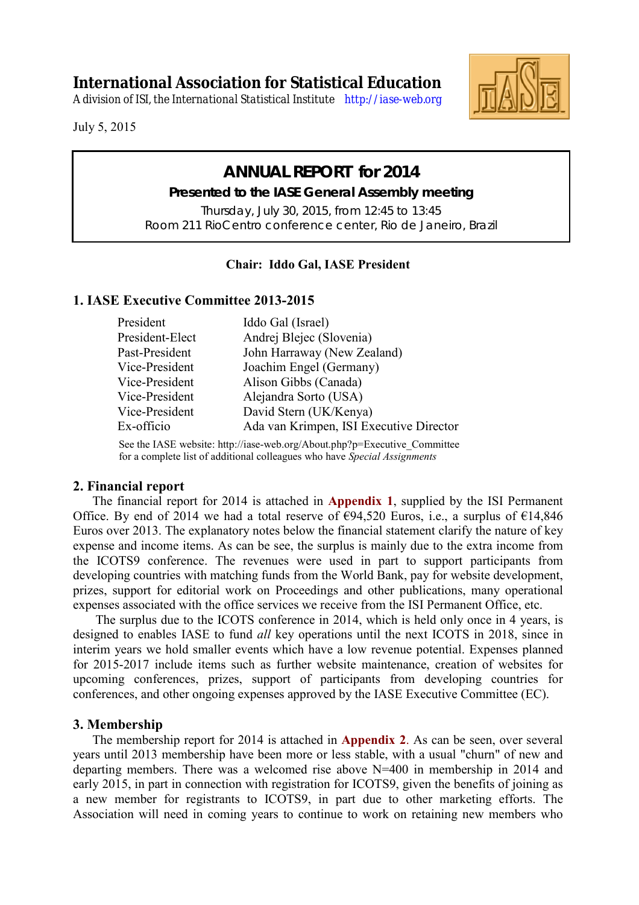**International Association for Statistical Education**

*A division of ISI, the International Statistical Institute <http://iase-web.org>*



July 5, 2015

# **ANNUAL REPORT for 2014**

**Presented to the IASE General Assembly meeting**  Thursday, July 30, 2015, from 12:45 to 13:45 Room 211 RioCentro conference center, Rio de Janeiro, Brazil

## **Chair: Iddo Gal, IASE President**

## **1. IASE Executive Committee 2013-2015**

| President       | Iddo Gal (Israel)                       |
|-----------------|-----------------------------------------|
| President-Elect | Andrej Blejec (Slovenia)                |
| Past-President  | John Harraway (New Zealand)             |
| Vice-President  | Joachim Engel (Germany)                 |
| Vice-President  | Alison Gibbs (Canada)                   |
| Vice-President  | Alejandra Sorto (USA)                   |
| Vice-President  | David Stern (UK/Kenya)                  |
| Ex-officio      | Ada van Krimpen, ISI Executive Director |
|                 |                                         |

See the IASE website: http://iase-web.org/About.php?p=Executive\_Committee for a complete list of additional colleagues who have *Special Assignments*

## **2. Financial report**

 The financial report for 2014 is attached in **Appendix 1**, supplied by the ISI Permanent Office. By end of 2014 we had a total reserve of  $\epsilon$ 94,520 Euros, i.e., a surplus of  $\epsilon$ 14,846 Euros over 2013. The explanatory notes below the financial statement clarify the nature of key expense and income items. As can be see, the surplus is mainly due to the extra income from the ICOTS9 conference. The revenues were used in part to support participants from developing countries with matching funds from the World Bank, pay for website development, prizes, support for editorial work on Proceedings and other publications, many operational expenses associated with the office services we receive from the ISI Permanent Office, etc.

 The surplus due to the ICOTS conference in 2014, which is held only once in 4 years, is designed to enables IASE to fund *all* key operations until the next ICOTS in 2018, since in interim years we hold smaller events which have a low revenue potential. Expenses planned for 2015-2017 include items such as further website maintenance, creation of websites for upcoming conferences, prizes, support of participants from developing countries for conferences, and other ongoing expenses approved by the IASE Executive Committee (EC).

## **3. Membership**

 The membership report for 2014 is attached in **Appendix 2**. As can be seen, over several years until 2013 membership have been more or less stable, with a usual "churn" of new and departing members. There was a welcomed rise above N=400 in membership in 2014 and early 2015, in part in connection with registration for ICOTS9, given the benefits of joining as a new member for registrants to ICOTS9, in part due to other marketing efforts. The Association will need in coming years to continue to work on retaining new members who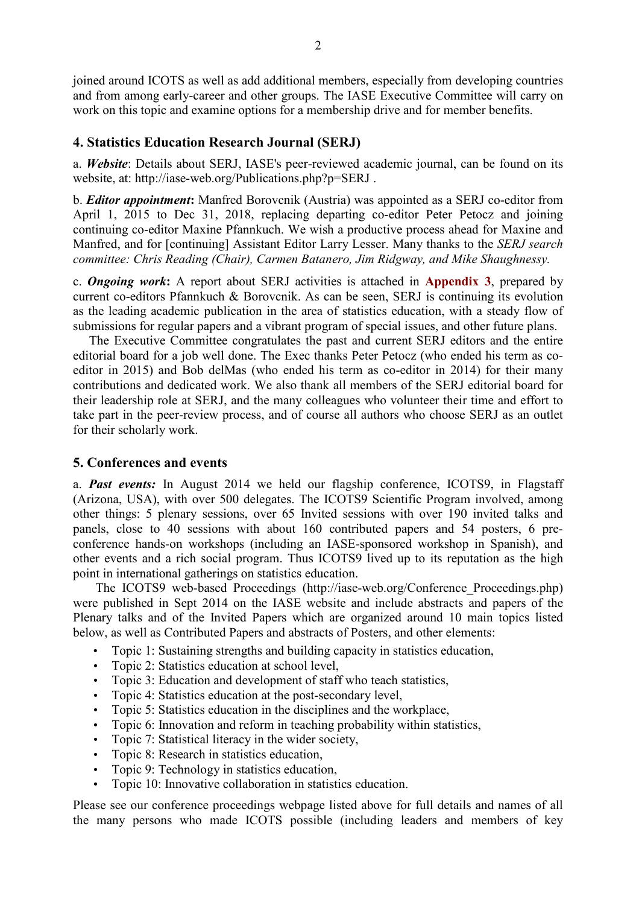joined around ICOTS as well as add additional members, especially from developing countries and from among early-career and other groups. The IASE Executive Committee will carry on work on this topic and examine options for a membership drive and for member benefits.

## **4. Statistics Education Research Journal (SERJ)**

a. *Website*: Details about SERJ, IASE's peer-reviewed academic journal, can be found on its website, at: http://iase-web.org/Publications.php?p=SERJ .

b. *Editor appointment***:** Manfred Borovcnik (Austria) was appointed as a SERJ co-editor from April 1, 2015 to Dec 31, 2018, replacing departing co-editor Peter Petocz and joining continuing co-editor Maxine Pfannkuch. We wish a productive process ahead for Maxine and Manfred, and for [continuing] Assistant Editor Larry Lesser. Many thanks to the *SERJ search committee: Chris Reading (Chair), Carmen Batanero, Jim Ridgway, and Mike Shaughnessy.*

c. *Ongoing work***:** A report about SERJ activities is attached in **Appendix 3**, prepared by current co-editors Pfannkuch & Borovcnik. As can be seen, SERJ is continuing its evolution as the leading academic publication in the area of statistics education, with a steady flow of submissions for regular papers and a vibrant program of special issues, and other future plans.

 The Executive Committee congratulates the past and current SERJ editors and the entire editorial board for a job well done. The Exec thanks Peter Petocz (who ended his term as coeditor in 2015) and Bob delMas (who ended his term as co-editor in 2014) for their many contributions and dedicated work. We also thank all members of the SERJ editorial board for their leadership role at SERJ, and the many colleagues who volunteer their time and effort to take part in the peer-review process, and of course all authors who choose SERJ as an outlet for their scholarly work.

### **5. Conferences and events**

a. *Past events:* In August 2014 we held our flagship conference, ICOTS9, in Flagstaff (Arizona, USA), with over 500 delegates. The ICOTS9 Scientific Program involved, among other things: 5 plenary sessions, over 65 Invited sessions with over 190 invited talks and panels, close to 40 sessions with about 160 contributed papers and 54 posters, 6 preconference hands-on workshops (including an IASE-sponsored workshop in Spanish), and other events and a rich social program. Thus ICOTS9 lived up to its reputation as the high point in international gatherings on statistics education.

 The ICOTS9 web-based Proceedings (http://iase-web.org/Conference\_Proceedings.php) were published in Sept 2014 on the IASE website and include abstracts and papers of the Plenary talks and of the Invited Papers which are organized around 10 main topics listed below, as well as Contributed Papers and abstracts of Posters, and other elements:

- Topic 1: Sustaining strengths and building capacity in statistics education,
- Topic 2: Statistics education at school level,
- Topic 3: Education and development of staff who teach statistics,
- Topic 4: Statistics education at the post-secondary level,
- Topic 5: Statistics education in the disciplines and the workplace,
- Topic 6: Innovation and reform in teaching probability within statistics,
- Topic 7: Statistical literacy in the wider society,
- Topic 8: Research in statistics education,
- Topic 9: Technology in statistics education,
- Topic 10: Innovative collaboration in statistics education.

Please see our conference proceedings webpage listed above for full details and names of all the many persons who made ICOTS possible (including leaders and members of key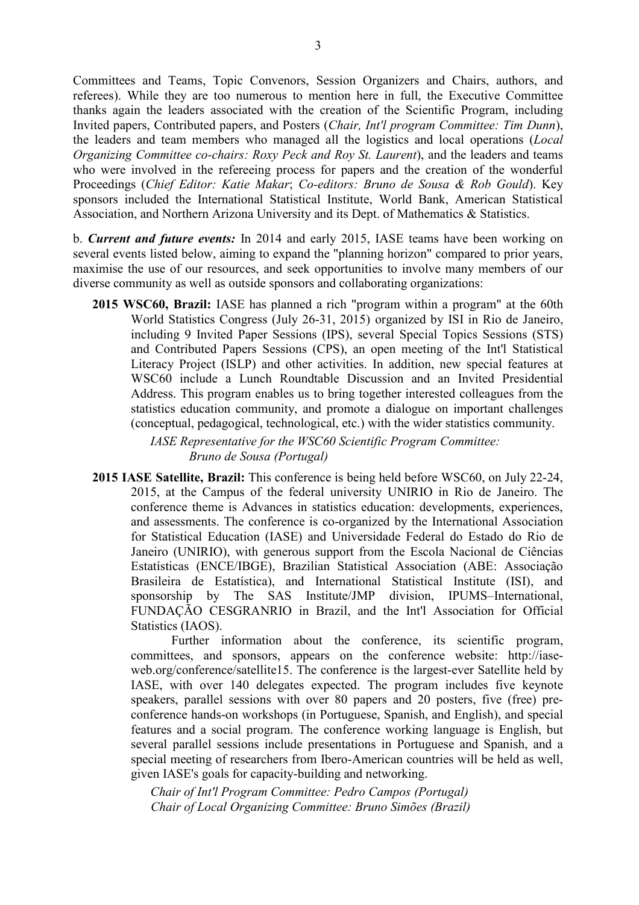Committees and Teams, Topic Convenors, Session Organizers and Chairs, authors, and referees). While they are too numerous to mention here in full, the Executive Committee thanks again the leaders associated with the creation of the Scientific Program, including Invited papers, Contributed papers, and Posters (*Chair, Int'l program Committee: Tim Dunn*), the leaders and team members who managed all the logistics and local operations (*Local Organizing Committee co-chairs: Roxy Peck and Roy St. Laurent*), and the leaders and teams who were involved in the refereeing process for papers and the creation of the wonderful Proceedings (*Chief Editor: Katie Makar*; *Co-editors: Bruno de Sousa & Rob Gould*). Key sponsors included the International Statistical Institute, World Bank, American Statistical Association, and Northern Arizona University and its Dept. of Mathematics & Statistics.

b. *Current and future events:* In 2014 and early 2015, IASE teams have been working on several events listed below, aiming to expand the "planning horizon" compared to prior years, maximise the use of our resources, and seek opportunities to involve many members of our diverse community as well as outside sponsors and collaborating organizations:

**2015 WSC60, Brazil:** IASE has planned a rich "program within a program" at the 60th World Statistics Congress (July 26-31, 2015) organized by ISI in Rio de Janeiro, including 9 Invited Paper Sessions (IPS), several Special Topics Sessions (STS) and Contributed Papers Sessions (CPS), an open meeting of the Int'l Statistical Literacy Project (ISLP) and other activities. In addition, new special features at WSC60 include a Lunch Roundtable Discussion and an Invited Presidential Address. This program enables us to bring together interested colleagues from the statistics education community, and promote a dialogue on important challenges (conceptual, pedagogical, technological, etc.) with the wider statistics community.

> *IASE Representative for the WSC60 Scientific Program Committee: Bruno de Sousa (Portugal)*

**2015 IASE Satellite, Brazil:** This conference is being held before WSC60, on July 22-24, 2015, at the Campus of the federal university UNIRIO in Rio de Janeiro. The conference theme is Advances in statistics education: developments, experiences, and assessments. The conference is co-organized by the International Association for Statistical Education (IASE) and Universidade Federal do Estado do Rio de Janeiro (UNIRIO), with generous support from the Escola Nacional de Ciências Estatísticas (ENCE/IBGE), Brazilian Statistical Association (ABE: Associação Brasileira de Estatística), and International Statistical Institute (ISI), and sponsorship by The SAS Institute/JMP division, IPUMS–International, FUNDAÇÃO CESGRANRIO in Brazil, and the Int'l Association for Official Statistics (IAOS).

Further information about the conference, its scientific program, committees, and sponsors, appears on the conference website: http://iaseweb.org/conference/satellite15. The conference is the largest-ever Satellite held by IASE, with over 140 delegates expected. The program includes five keynote speakers, parallel sessions with over 80 papers and 20 posters, five (free) preconference hands-on workshops (in Portuguese, Spanish, and English), and special features and a social program. The conference working language is English, but several parallel sessions include presentations in Portuguese and Spanish, and a special meeting of researchers from Ibero-American countries will be held as well, given IASE's goals for capacity-building and networking.

*Chair of Int'l Program Committee: Pedro Campos (Portugal) Chair of Local Organizing Committee: Bruno Simões (Brazil)*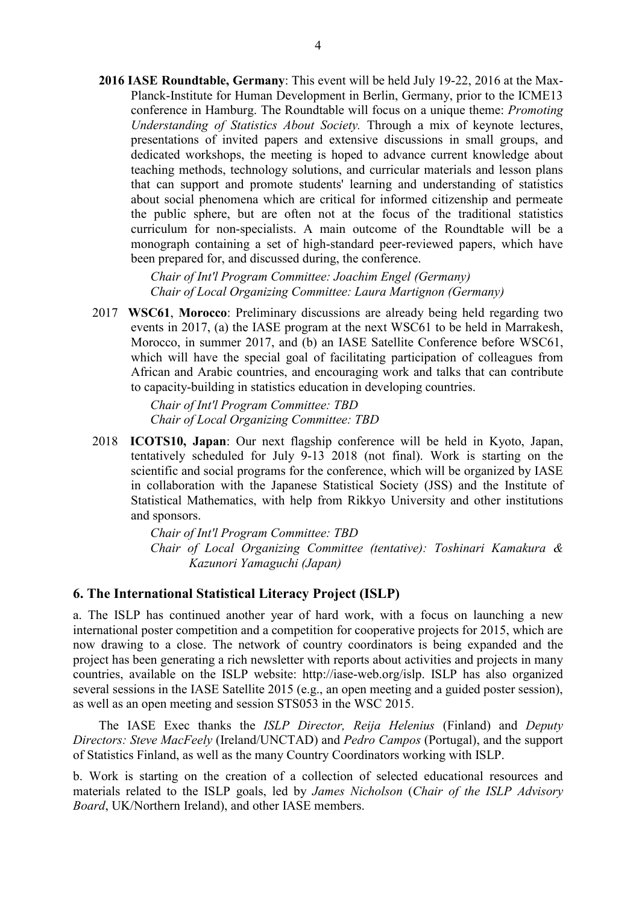**2016 IASE Roundtable, Germany**: This event will be held July 19-22, 2016 at the Max-Planck-Institute for Human Development in Berlin, Germany, prior to the ICME13 conference in Hamburg. The Roundtable will focus on a unique theme: *Promoting Understanding of Statistics About Society.* Through a mix of keynote lectures, presentations of invited papers and extensive discussions in small groups, and dedicated workshops, the meeting is hoped to advance current knowledge about teaching methods, technology solutions, and curricular materials and lesson plans that can support and promote students' learning and understanding of statistics about social phenomena which are critical for informed citizenship and permeate the public sphere, but are often not at the focus of the traditional statistics curriculum for non-specialists. A main outcome of the Roundtable will be a monograph containing a set of high-standard peer-reviewed papers, which have been prepared for, and discussed during, the conference.

> *Chair of Int'l Program Committee: Joachim Engel (Germany) Chair of Local Organizing Committee: Laura Martignon (Germany)*

2017 **WSC61**, **Morocco**: Preliminary discussions are already being held regarding two events in 2017, (a) the IASE program at the next WSC61 to be held in Marrakesh, Morocco, in summer 2017, and (b) an IASE Satellite Conference before WSC61, which will have the special goal of facilitating participation of colleagues from African and Arabic countries, and encouraging work and talks that can contribute to capacity-building in statistics education in developing countries.

> *Chair of Int'l Program Committee: TBD Chair of Local Organizing Committee: TBD*

2018 **ICOTS10, Japan**: Our next flagship conference will be held in Kyoto, Japan, tentatively scheduled for July 9-13 2018 (not final). Work is starting on the scientific and social programs for the conference, which will be organized by IASE in collaboration with the Japanese Statistical Society (JSS) and the Institute of Statistical Mathematics, with help from Rikkyo University and other institutions and sponsors.

> *Chair of Int'l Program Committee: TBD Chair of Local Organizing Committee (tentative): Toshinari Kamakura & Kazunori Yamaguchi (Japan)*

### **6. The International Statistical Literacy Project (ISLP)**

a. The ISLP has continued another year of hard work, with a focus on launching a new international poster competition and a competition for cooperative projects for 2015, which are now drawing to a close. The network of country coordinators is being expanded and the project has been generating a rich newsletter with reports about activities and projects in many countries, available on the ISLP website: http://iase-web.org/islp. ISLP has also organized several sessions in the IASE Satellite 2015 (e.g., an open meeting and a guided poster session), as well as an open meeting and session STS053 in the WSC 2015.

 The IASE Exec thanks the *ISLP Director, Reija Helenius* (Finland) and *Deputy Directors: Steve MacFeely* (Ireland/UNCTAD) and *Pedro Campos* (Portugal), and the support of Statistics Finland, as well as the many Country Coordinators working with ISLP.

b. Work is starting on the creation of a collection of selected educational resources and materials related to the ISLP goals, led by *James Nicholson* (*Chair of the ISLP Advisory Board*, UK/Northern Ireland), and other IASE members.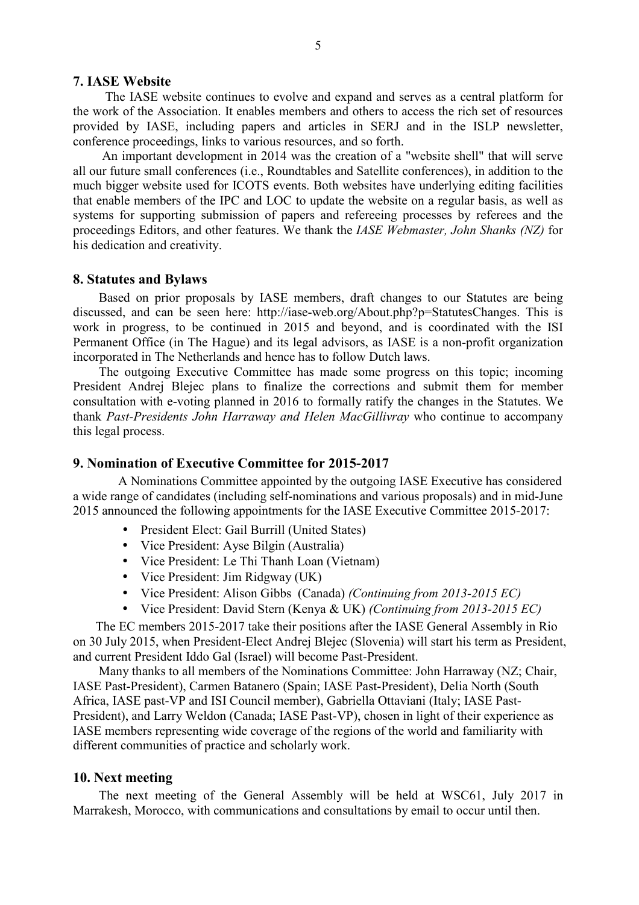#### **7. IASE Website**

 The IASE website continues to evolve and expand and serves as a central platform for the work of the Association. It enables members and others to access the rich set of resources provided by IASE, including papers and articles in SERJ and in the ISLP newsletter, conference proceedings, links to various resources, and so forth.

 An important development in 2014 was the creation of a "website shell" that will serve all our future small conferences (i.e., Roundtables and Satellite conferences), in addition to the much bigger website used for ICOTS events. Both websites have underlying editing facilities that enable members of the IPC and LOC to update the website on a regular basis, as well as systems for supporting submission of papers and refereeing processes by referees and the proceedings Editors, and other features. We thank the *IASE Webmaster, John Shanks (NZ)* for his dedication and creativity.

#### **8. Statutes and Bylaws**

 Based on prior proposals by IASE members, draft changes to our Statutes are being discussed, and can be seen here: http://iase-web.org/About.php?p=StatutesChanges. This is work in progress, to be continued in 2015 and beyond, and is coordinated with the ISI Permanent Office (in The Hague) and its legal advisors, as IASE is a non-profit organization incorporated in The Netherlands and hence has to follow Dutch laws.

 The outgoing Executive Committee has made some progress on this topic; incoming President Andrej Blejec plans to finalize the corrections and submit them for member consultation with e-voting planned in 2016 to formally ratify the changes in the Statutes. We thank *Past-Presidents John Harraway and Helen MacGillivray* who continue to accompany this legal process.

#### **9. Nomination of Executive Committee for 2015-2017**

 A Nominations Committee appointed by the outgoing IASE Executive has considered a wide range of candidates (including self-nominations and various proposals) and in mid-June 2015 announced the following appointments for the IASE Executive Committee 2015-2017:

- President Elect: Gail Burrill (United States)
- Vice President: Ayse Bilgin (Australia)
- Vice President: Le Thi Thanh Loan (Vietnam)
- Vice President: Jim Ridgway (UK)
- Vice President: Alison Gibbs (Canada) *(Continuing from 2013-2015 EC)*
- Vice President: David Stern (Kenya & UK) *(Continuing from 2013-2015 EC)*

 The EC members 2015-2017 take their positions after the IASE General Assembly in Rio on 30 July 2015, when President-Elect Andrej Blejec (Slovenia) will start his term as President, and current President Iddo Gal (Israel) will become Past-President.

 Many thanks to all members of the Nominations Committee: John Harraway (NZ; Chair, IASE Past-President), Carmen Batanero (Spain; IASE Past-President), Delia North (South Africa, IASE past-VP and ISI Council member), Gabriella Ottaviani (Italy; IASE Past-President), and Larry Weldon (Canada; IASE Past-VP), chosen in light of their experience as IASE members representing wide coverage of the regions of the world and familiarity with different communities of practice and scholarly work.

#### **10. Next meeting**

 The next meeting of the General Assembly will be held at WSC61, July 2017 in Marrakesh, Morocco, with communications and consultations by email to occur until then.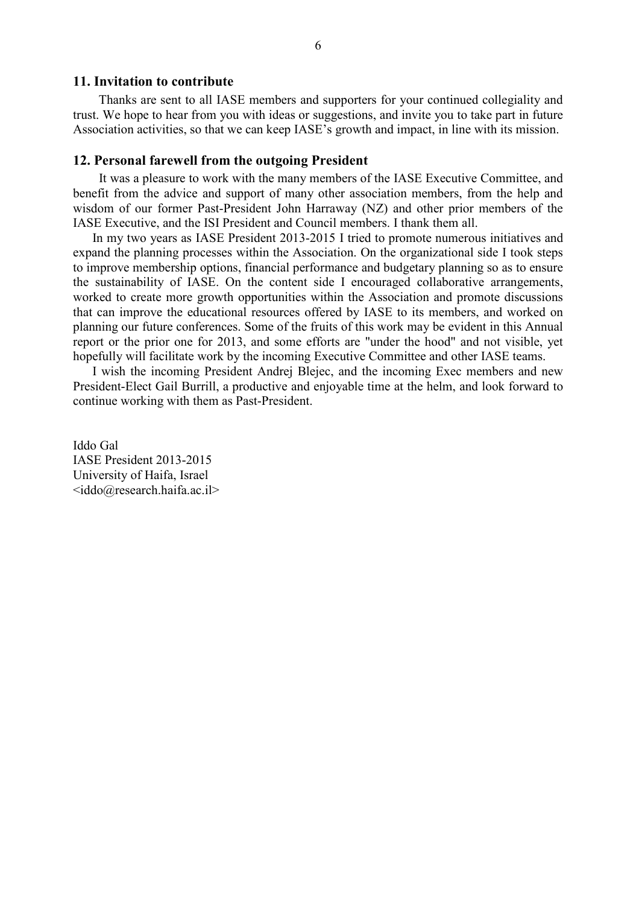#### **11. Invitation to contribute**

 Thanks are sent to all IASE members and supporters for your continued collegiality and trust. We hope to hear from you with ideas or suggestions, and invite you to take part in future Association activities, so that we can keep IASE's growth and impact, in line with its mission.

#### **12. Personal farewell from the outgoing President**

It was a pleasure to work with the many members of the IASE Executive Committee, and benefit from the advice and support of many other association members, from the help and wisdom of our former Past-President John Harraway (NZ) and other prior members of the IASE Executive, and the ISI President and Council members. I thank them all.

In my two years as IASE President 2013-2015 I tried to promote numerous initiatives and expand the planning processes within the Association. On the organizational side I took steps to improve membership options, financial performance and budgetary planning so as to ensure the sustainability of IASE. On the content side I encouraged collaborative arrangements, worked to create more growth opportunities within the Association and promote discussions that can improve the educational resources offered by IASE to its members, and worked on planning our future conferences. Some of the fruits of this work may be evident in this Annual report or the prior one for 2013, and some efforts are "under the hood" and not visible, yet hopefully will facilitate work by the incoming Executive Committee and other IASE teams.

I wish the incoming President Andrej Blejec, and the incoming Exec members and new President-Elect Gail Burrill, a productive and enjoyable time at the helm, and look forward to continue working with them as Past-President.

Iddo Gal IASE President 2013-2015 University of Haifa, Israel  $\leq$ iddo $@$ research.haifa.ac.il>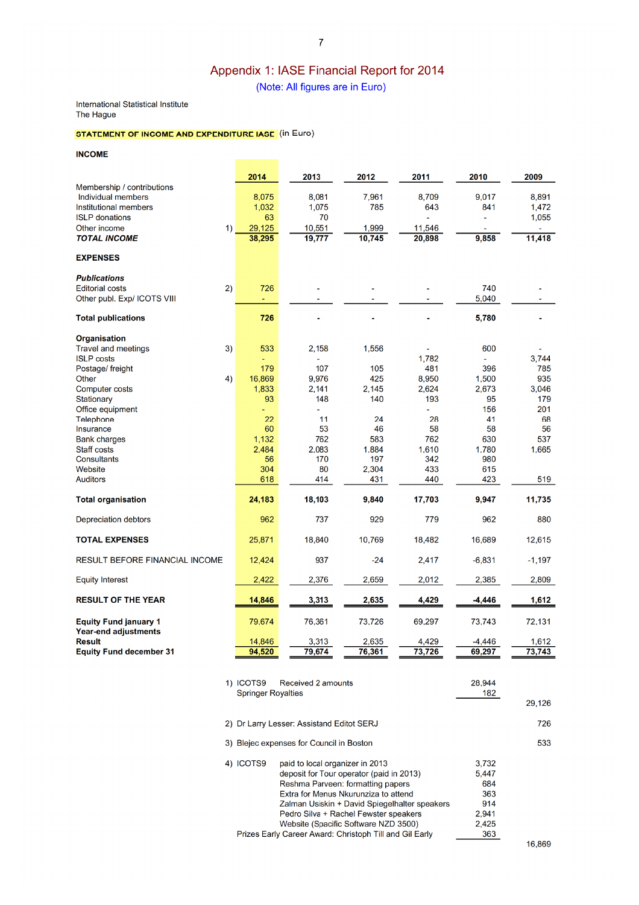# Appendix 1: IASE Financial Report for 2014

(Note: All figures are in Euro)

#### International Statistical Institute The Hague

#### **STATEMENT OF INCOME AND EXPENDITURE IASE** (in Euro)

**INCOME** 

|                                                      | 2014            | 2013           | 2012         | 2011           | 2010           | 2009         |
|------------------------------------------------------|-----------------|----------------|--------------|----------------|----------------|--------------|
| Membership / contributions<br>Individual members     | 8,075           | 8,081          | 7,961        | 8,709          | 9,017          | 8,891        |
| Institutional members                                | 1,032           | 1,075          | 785          | 643            | 841            | 1,472        |
| <b>ISLP</b> donations                                | 63              | 70             |              |                |                | 1,055        |
| Other income<br>$\left( \right)$                     | 29,125          | 10,551         | 1,999        | 11,546         |                |              |
| <b>TOTAL INCOME</b>                                  | 38,295          | 19,777         | 10.745       | 20,898         | 9,858          | 11,418       |
| <b>EXPENSES</b>                                      |                 |                |              |                |                |              |
| <b>Publications</b>                                  |                 |                |              |                |                |              |
| 2)<br><b>Editorial costs</b>                         | 726             |                |              |                | 740            |              |
| Other publ. Exp/ ICOTS VIII                          |                 |                |              |                | 5,040          |              |
| <b>Total publications</b>                            | 726             |                |              |                | 5,780          |              |
| <b>Organisation</b>                                  |                 |                |              |                |                |              |
| 3)<br>Travel and meetings                            | 533             | 2,158          | 1,556        |                | 600            |              |
| <b>ISLP</b> costs                                    |                 |                |              | 1,782          |                | 3.744        |
| Postage/ freight                                     | 179             | 107            | 105          | 481            | 396            | 785          |
| 4)<br>Other                                          | 16,869<br>1,833 | 9,976<br>2,141 | 425<br>2,145 | 8,950<br>2,624 | 1,500<br>2,673 | 935<br>3,046 |
| Computer costs<br>Stationary                         | 93              | 148            | 140          | 193            | 95             | 179          |
| Office equipment                                     |                 |                |              |                | 156            | 201          |
| <b>Telephone</b>                                     | 22              | 11             | 24           | 28             | 41             | 68           |
| Insurance                                            | 60              | 53             | 46           | 58             | 58             | 56           |
| <b>Bank charges</b>                                  | 1,132           | 762            | 583          | 762            | 630            | 537          |
| <b>Staff costs</b>                                   | 2.484           | 2.083          | 1.884        | 1.610          | 1.780          | 1,665        |
| <b>Consultants</b>                                   | 56              | 170            | 197          | 342            | 980            |              |
| Website                                              | 304             | 80             | 2,304        | 433            | 615            |              |
| <b>Auditors</b>                                      | 618             | 414            | 431          | 440            | 423            | 519          |
| <b>Total organisation</b>                            | 24,183          | 18,103         | 9,840        | 17,703         | 9,947          | 11,735       |
| <b>Depreciation debtors</b>                          | 962             | 737            | 929          | 779            | 962            | 880          |
| <b>TOTAL EXPENSES</b>                                | 25,871          | 18,840         | 10.769       | 18,482         | 16,689         | 12,615       |
| <b>RESULT BEFORE FINANCIAL INCOME</b>                | 12,424          | 937            | $-24$        | 2,417          | $-6,831$       | $-1,197$     |
| <b>Equity Interest</b>                               | 2,422           | 2,376          | 2,659        | 2,012          | 2,385          | 2,809        |
| <b>RESULT OF THE YEAR</b>                            | 14,846          | 3,313          | 2,635        | 4,429          | $-4,446$       | 1,612        |
| <b>Equity Fund january 1</b><br>Year-end adjustments | 79,674          | 76,361         | 73.726       | 69,297         | 73.743         | 72.131       |
| <b>Result</b>                                        | 14,846          | 3,313          | 2,635        | 4,429          | -4,446         | 1,612        |
| <b>Equity Fund december 31</b>                       | 94.520          | 79,674         | 76,361       | 73,726         | 69.297         | 73,743       |

| 1) ICOTS9                 | Received 2 amounts                                      | 28.944 |        |
|---------------------------|---------------------------------------------------------|--------|--------|
| <b>Springer Royalties</b> |                                                         | 182    |        |
|                           |                                                         |        | 29.126 |
|                           | 2) Dr Larry Lesser: Assistand Editot SERJ               |        | 726    |
|                           | 3) Blejec expenses for Council in Boston                |        | 533    |
| 4) ICOTS9                 | paid to local organizer in 2013                         | 3,732  |        |
|                           | deposit for Tour operator (paid in 2013)                | 5.447  |        |
|                           | Reshma Parveen: formatting papers                       | 684    |        |
|                           | Extra for Menus Nkurunziza to attend                    | 363    |        |
|                           | Zalman Usiskin + David Spiegelhalter speakers           | 914    |        |
|                           | Pedro Silva + Rachel Fewster speakers                   | 2,941  |        |
|                           | Website (Spacific Software NZD 3500)                    | 2.425  |        |
|                           | Prizes Early Career Award: Christoph Till and Gil Early | 363    |        |
|                           |                                                         |        | 16.869 |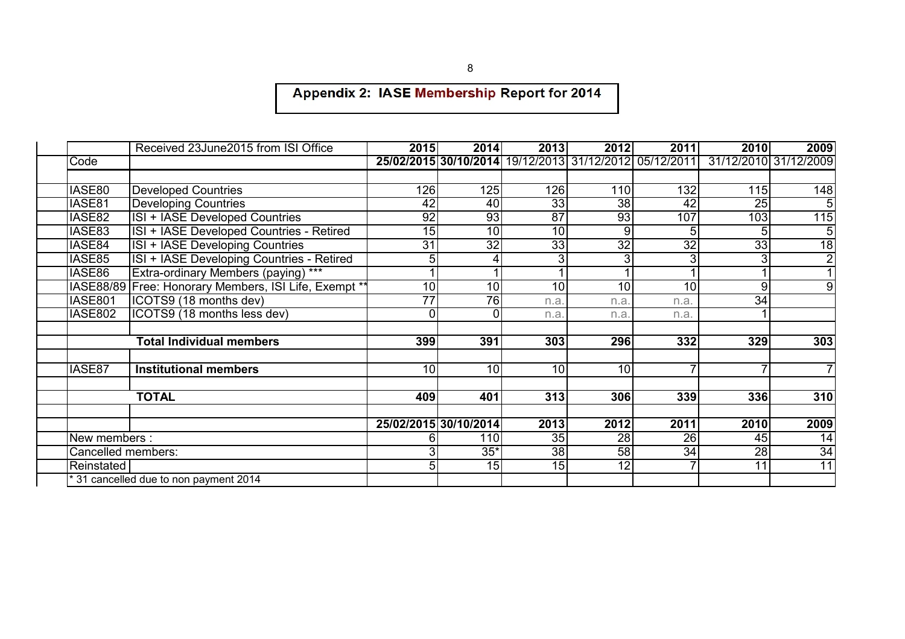# Appendix 2: IASE Membership Report for 2014

|                                       | Received 23June2015 from ISI Office                     | 2015            | 2014                  | 2013            | 2012            | 2011                                                   | 2010                  | 2009            |
|---------------------------------------|---------------------------------------------------------|-----------------|-----------------------|-----------------|-----------------|--------------------------------------------------------|-----------------------|-----------------|
| Code                                  |                                                         |                 |                       |                 |                 | 25/02/2015 30/10/2014 19/12/2013 31/12/2012 05/12/2011 | 31/12/2010 31/12/2009 |                 |
|                                       |                                                         |                 |                       |                 |                 |                                                        |                       |                 |
| IASE80                                | <b>Developed Countries</b>                              | 126             | 125                   | 126             | <b>110</b>      | 132                                                    | 115                   | 148             |
| IASE81                                | <b>Developing Countries</b>                             | 42              | 40                    | 33              | $\overline{38}$ | 42                                                     | $\overline{25}$       | 5               |
| IASE82                                | <b>ISI + IASE Developed Countries</b>                   | 92              | 93                    | $\overline{87}$ | 93              | 107                                                    | 103                   | 115             |
| IASE83                                | ISI + IASE Developed Countries - Retired                | $\overline{15}$ | $\overline{10}$       | 10              | 9               |                                                        |                       | 5               |
| IASE84                                | ISI + IASE Developing Countries                         | 31              | $\overline{32}$       | 33              | $\overline{32}$ | $\overline{32}$                                        | 33                    | 18              |
| IASE85                                | ISI + IASE Developing Countries - Retired               | 5               |                       | 3               |                 |                                                        |                       | $\overline{2}$  |
| IASE86                                | Extra-ordinary Members (paying) ***                     |                 |                       |                 |                 |                                                        |                       |                 |
|                                       | IASE88/89   Free: Honorary Members, ISI Life, Exempt ** | 10              | 10                    | 10              | 10              | 10                                                     | 9                     | 9               |
| IASE801                               | ICOTS9 (18 months dev)                                  | $\overline{77}$ | 76                    | n.a             | n.a             | n.a.                                                   | 34                    |                 |
| <b>IASE802</b>                        | ICOTS9 (18 months less dev)                             | 0               | 0                     | n.a             | n.a             | n.a.                                                   |                       |                 |
|                                       |                                                         |                 |                       |                 |                 |                                                        |                       |                 |
|                                       | <b>Total Individual members</b>                         | 399             | 391                   | 303             | 296             | 332                                                    | 329                   | 303             |
|                                       |                                                         |                 |                       |                 |                 |                                                        |                       |                 |
| IASE87                                | <b>Institutional members</b>                            | 10              | $\overline{10}$       | 10              | $\overline{10}$ |                                                        |                       | 7               |
|                                       | <b>TOTAL</b>                                            | 409             | 401                   | 313             | 306             | 339                                                    | 336                   | 310             |
|                                       |                                                         |                 |                       |                 |                 |                                                        |                       |                 |
|                                       |                                                         |                 | 25/02/2015 30/10/2014 | 2013            | 2012            | 2011                                                   | 2010                  | 2009            |
| New members :                         |                                                         |                 | 110                   | 35              | 28              | 26                                                     | 45                    | 14              |
| Cancelled members:                    |                                                         |                 | $35*$                 | 38              | 58              | 34                                                     | 28                    | $\overline{34}$ |
| Reinstated                            |                                                         | 5               | 15                    | 15              | 12              |                                                        | 11                    | $\overline{11}$ |
| *31 cancelled due to non payment 2014 |                                                         |                 |                       |                 |                 |                                                        |                       |                 |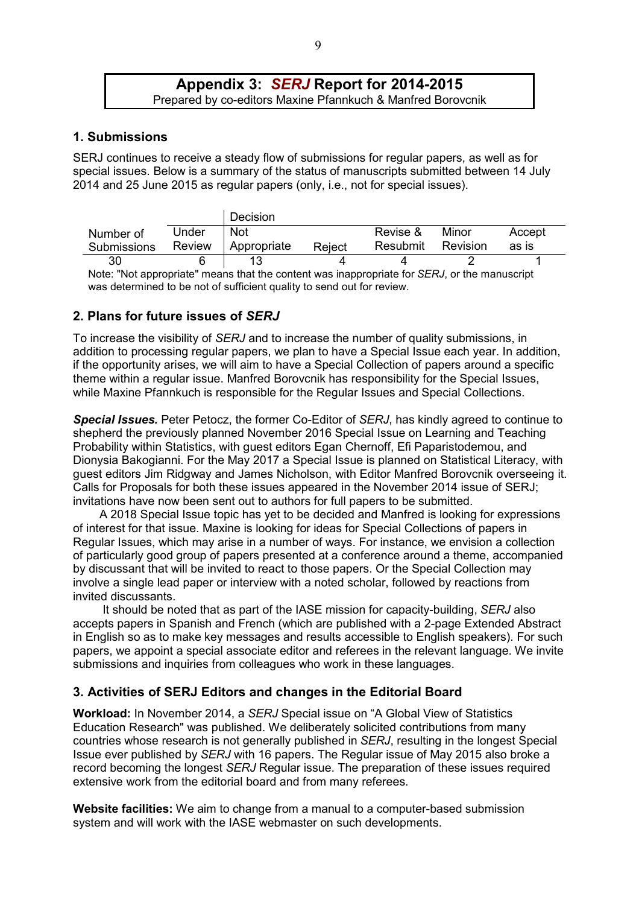## **Appendix 3:** *SERJ* **Report for 2014-2015**  Prepared by co-editors Maxine Pfannkuch & Manfred Borovcnik

## **1. Submissions**

SERJ continues to receive a steady flow of submissions for regular papers, as well as for special issues. Below is a summary of the status of manuscripts submitted between 14 July 2014 and 25 June 2015 as regular papers (only, i.e., not for special issues).

|                                                                                              |        | Decision    |        |          |          |        |  |  |
|----------------------------------------------------------------------------------------------|--------|-------------|--------|----------|----------|--------|--|--|
| Number of                                                                                    | Under  | <b>Not</b>  |        | Revise & | Minor    | Accept |  |  |
| <b>Submissions</b>                                                                           | Review | Appropriate | Reject | Resubmit | Revision | as is  |  |  |
| 30                                                                                           |        |             |        |          |          |        |  |  |
| Note: "Not appropriate" means that the content was inappropriate for SER. Lor the manuscript |        |             |        |          |          |        |  |  |

 $n$ riate" means that the content was inappropriate for *SERJ*, or the manuscript was determined to be not of sufficient quality to send out for review.

## **2. Plans for future issues of** *SERJ*

To increase the visibility of *SERJ* and to increase the number of quality submissions, in addition to processing regular papers, we plan to have a Special Issue each year. In addition, if the opportunity arises, we will aim to have a Special Collection of papers around a specific theme within a regular issue. Manfred Borovcnik has responsibility for the Special Issues, while Maxine Pfannkuch is responsible for the Regular Issues and Special Collections.

*Special Issues.* Peter Petocz, the former Co-Editor of *SERJ*, has kindly agreed to continue to shepherd the previously planned November 2016 Special Issue on Learning and Teaching Probability within Statistics, with guest editors Egan Chernoff, Efi Paparistodemou, and Dionysia Bakogianni. For the May 2017 a Special Issue is planned on Statistical Literacy, with guest editors Jim Ridgway and James Nicholson, with Editor Manfred Borovcnik overseeing it. Calls for Proposals for both these issues appeared in the November 2014 issue of SERJ; invitations have now been sent out to authors for full papers to be submitted.

 A 2018 Special Issue topic has yet to be decided and Manfred is looking for expressions of interest for that issue. Maxine is looking for ideas for Special Collections of papers in Regular Issues, which may arise in a number of ways. For instance, we envision a collection of particularly good group of papers presented at a conference around a theme, accompanied by discussant that will be invited to react to those papers. Or the Special Collection may involve a single lead paper or interview with a noted scholar, followed by reactions from invited discussants.

It should be noted that as part of the IASE mission for capacity-building, *SERJ* also accepts papers in Spanish and French (which are published with a 2-page Extended Abstract in English so as to make key messages and results accessible to English speakers). For such papers, we appoint a special associate editor and referees in the relevant language. We invite submissions and inquiries from colleagues who work in these languages.

# **3. Activities of SERJ Editors and changes in the Editorial Board**

**Workload:** In November 2014, a *SERJ* Special issue on "A Global View of Statistics Education Research" was published. We deliberately solicited contributions from many countries whose research is not generally published in *SERJ*, resulting in the longest Special Issue ever published by *SERJ* with 16 papers. The Regular issue of May 2015 also broke a record becoming the longest *SERJ* Regular issue. The preparation of these issues required extensive work from the editorial board and from many referees.

**Website facilities:** We aim to change from a manual to a computer-based submission system and will work with the IASE webmaster on such developments.